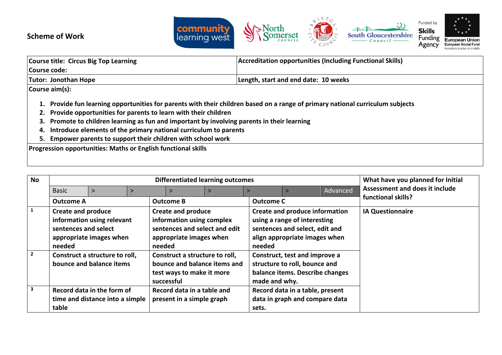



| <b>Course title: Circus Big Top Learning</b>                                                                                                                                                                                                                                                                                                                                                                                               | Accreditation opportunities (Including Functional Skills) |  |  |
|--------------------------------------------------------------------------------------------------------------------------------------------------------------------------------------------------------------------------------------------------------------------------------------------------------------------------------------------------------------------------------------------------------------------------------------------|-----------------------------------------------------------|--|--|
| Course code:                                                                                                                                                                                                                                                                                                                                                                                                                               |                                                           |  |  |
| <b>Tutor: Jonothan Hope</b>                                                                                                                                                                                                                                                                                                                                                                                                                | Length, start and end date: 10 weeks                      |  |  |
| Course aim(s):                                                                                                                                                                                                                                                                                                                                                                                                                             |                                                           |  |  |
| 1. Provide fun learning opportunities for parents with their children based on a range of primary national curriculum subjects<br>2. Provide opportunities for parents to learn with their children<br>3. Promote to children learning as fun and important by involving parents in their learning<br>4. Introduce elements of the primary national curriculum to parents<br>5. Empower parents to support their children with school work |                                                           |  |  |
| Progression opportunities: Maths or English functional skills                                                                                                                                                                                                                                                                                                                                                                              |                                                           |  |  |

| <b>No</b>      |                                                                                                                                   | <b>Differentiated learning outcomes</b>               |       |                                                                                                                              |  |                                                                                                                                                    |                                                                                                   | What have you planned for Initial |                                |
|----------------|-----------------------------------------------------------------------------------------------------------------------------------|-------------------------------------------------------|-------|------------------------------------------------------------------------------------------------------------------------------|--|----------------------------------------------------------------------------------------------------------------------------------------------------|---------------------------------------------------------------------------------------------------|-----------------------------------|--------------------------------|
|                | <b>Basic</b>                                                                                                                      |                                                       |       |                                                                                                                              |  |                                                                                                                                                    |                                                                                                   | Advanced                          | Assessment and does it include |
|                | <b>Outcome A</b>                                                                                                                  |                                                       |       | <b>Outcome B</b>                                                                                                             |  | <b>Outcome C</b>                                                                                                                                   |                                                                                                   |                                   | functional skills?             |
|                | <b>Create and produce</b><br>sentences and select<br>needed                                                                       | information using relevant<br>appropriate images when |       | <b>Create and produce</b><br>information using complex<br>sentences and select and edit<br>appropriate images when<br>needed |  | <b>Create and produce information</b><br>using a range of interesting<br>sentences and select, edit and<br>align appropriate images when<br>needed |                                                                                                   |                                   | <b>IA Questionnaire</b>        |
| $\overline{2}$ | Construct a structure to roll,<br>bounce and balance items                                                                        |                                                       |       | Construct a structure to roll,<br>bounce and balance items and<br>test ways to make it more<br>successful                    |  | made and why.                                                                                                                                      | Construct, test and improve a<br>structure to roll, bounce and<br>balance items. Describe changes |                                   |                                |
| 3              | Record data in the form of<br>Record data in a table and<br>time and distance into a simple<br>present in a simple graph<br>table |                                                       | sets. | Record data in a table, present<br>data in graph and compare data                                                            |  |                                                                                                                                                    |                                                                                                   |                                   |                                |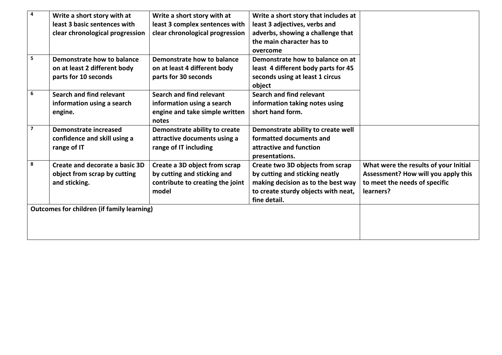| 4                       | Write a short story with at                       | Write a short story with at      | Write a short story that includes at |                                       |
|-------------------------|---------------------------------------------------|----------------------------------|--------------------------------------|---------------------------------------|
|                         | least 3 basic sentences with                      | least 3 complex sentences with   | least 3 adjectives, verbs and        |                                       |
|                         | clear chronological progression                   | clear chronological progression  | adverbs, showing a challenge that    |                                       |
|                         |                                                   |                                  | the main character has to            |                                       |
|                         |                                                   |                                  | overcome                             |                                       |
| 5                       | Demonstrate how to balance                        | Demonstrate how to balance       | Demonstrate how to balance on at     |                                       |
|                         | on at least 2 different body                      | on at least 4 different body     | least 4 different body parts for 45  |                                       |
|                         | parts for 10 seconds                              | parts for 30 seconds             | seconds using at least 1 circus      |                                       |
|                         |                                                   |                                  | object                               |                                       |
| 6                       | Search and find relevant                          | Search and find relevant         | Search and find relevant             |                                       |
|                         | information using a search                        | information using a search       | information taking notes using       |                                       |
|                         | engine.                                           | engine and take simple written   | short hand form.                     |                                       |
|                         |                                                   | notes                            |                                      |                                       |
| $\overline{\mathbf{z}}$ | <b>Demonstrate increased</b>                      | Demonstrate ability to create    | Demonstrate ability to create well   |                                       |
|                         | confidence and skill using a                      | attractive documents using a     | formatted documents and              |                                       |
|                         | range of IT                                       | range of IT including            | attractive and function              |                                       |
|                         |                                                   |                                  | presentations.                       |                                       |
| 8                       | Create and decorate a basic 3D                    | Create a 3D object from scrap    | Create two 3D objects from scrap     | What were the results of your Initial |
|                         | object from scrap by cutting                      | by cutting and sticking and      | by cutting and sticking neatly       | Assessment? How will you apply this   |
|                         | and sticking.                                     | contribute to creating the joint | making decision as to the best way   | to meet the needs of specific         |
|                         |                                                   | model                            | to create sturdy objects with neat,  | learners?                             |
|                         |                                                   |                                  | fine detail.                         |                                       |
|                         | <b>Outcomes for children (if family learning)</b> |                                  |                                      |                                       |
|                         |                                                   |                                  |                                      |                                       |
|                         |                                                   |                                  |                                      |                                       |
|                         |                                                   |                                  |                                      |                                       |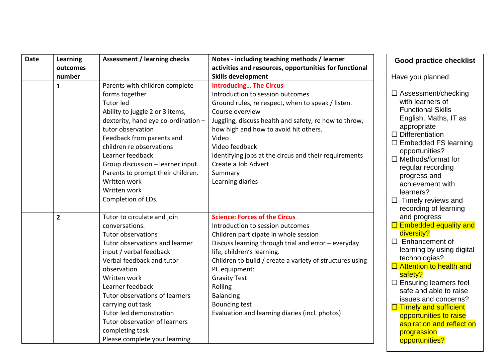| <b>Date</b> | Learning<br>outcomes | <b>Assessment / learning checks</b>                                                                                                                                                                                                                                                                                                                                                     | Notes - including teaching methods / learner<br>activities and resources, opportunities for functional                                                                                                                                                                                                                                                                                                              | <b>Good practice checklist</b>                                                                                                                                                                                                                                                                                                                                                                                     |
|-------------|----------------------|-----------------------------------------------------------------------------------------------------------------------------------------------------------------------------------------------------------------------------------------------------------------------------------------------------------------------------------------------------------------------------------------|---------------------------------------------------------------------------------------------------------------------------------------------------------------------------------------------------------------------------------------------------------------------------------------------------------------------------------------------------------------------------------------------------------------------|--------------------------------------------------------------------------------------------------------------------------------------------------------------------------------------------------------------------------------------------------------------------------------------------------------------------------------------------------------------------------------------------------------------------|
|             | number               |                                                                                                                                                                                                                                                                                                                                                                                         | <b>Skills development</b>                                                                                                                                                                                                                                                                                                                                                                                           | Have you planned:                                                                                                                                                                                                                                                                                                                                                                                                  |
|             | $\mathbf{1}$         | Parents with children complete<br>forms together<br><b>Tutor led</b><br>Ability to juggle 2 or 3 items,<br>dexterity, hand eye co-ordination -<br>tutor observation<br>Feedback from parents and<br>children re observations<br>Learner feedback<br>Group discussion - learner input.<br>Parents to prompt their children.<br>Written work<br>Written work<br>Completion of LDs.        | <b>Introducing The Circus</b><br>Introduction to session outcomes<br>Ground rules, re respect, when to speak / listen.<br>Course overview<br>Juggling, discuss health and safety, re how to throw,<br>how high and how to avoid hit others.<br>Video<br>Video feedback<br>Identifying jobs at the circus and their requirements<br>Create a Job Advert<br>Summary<br>Learning diaries                               | $\Box$ Assessment/checking<br>with learners of<br><b>Functional Skills</b><br>English, Maths, IT as<br>appropriate<br>$\Box$ Differentiation<br>$\Box$ Embedded FS learning<br>opportunities?<br>$\Box$ Methods/format for<br>regular recording<br>progress and<br>achievement with<br>learners?<br>$\Box$ Timely reviews and                                                                                      |
|             | $\overline{2}$       | Tutor to circulate and join<br>conversations.<br>Tutor observations<br>Tutor observations and learner<br>input / verbal feedback<br>Verbal feedback and tutor<br>observation<br>Written work<br>Learner feedback<br>Tutor observations of learners<br>carrying out task<br>Tutor led demonstration<br>Tutor observation of learners<br>completing task<br>Please complete your learning | <b>Science: Forces of the Circus</b><br>Introduction to session outcomes<br>Children participate in whole session<br>Discuss learning through trial and error - everyday<br>life, children's learning.<br>Children to build / create a variety of structures using<br>PE equipment:<br><b>Gravity Test</b><br>Rolling<br><b>Balancing</b><br><b>Bouncing test</b><br>Evaluation and learning diaries (incl. photos) | recording of learning<br>and progress<br>$\Box$ Embedded equality and<br>diversity?<br>$\Box$ Enhancement of<br>learning by using digital<br>technologies?<br>$\Box$ Attention to health and<br>safety?<br>$\Box$ Ensuring learners feel<br>safe and able to raise<br>issues and concerns?<br>$\Box$ Timely and sufficient<br>opportunities to raise<br>aspiration and reflect on<br>progression<br>opportunities? |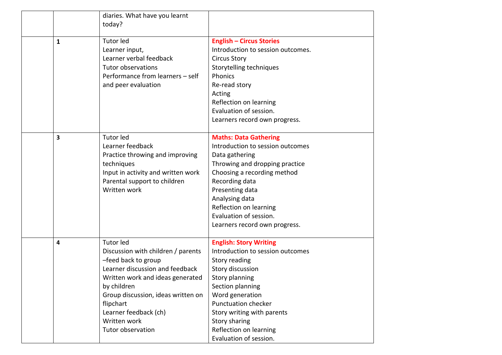|              | diaries. What have you learnt<br>today?                                                                                                                                                                                                                                              |                                                                                                                                                                                                                                                                                                  |
|--------------|--------------------------------------------------------------------------------------------------------------------------------------------------------------------------------------------------------------------------------------------------------------------------------------|--------------------------------------------------------------------------------------------------------------------------------------------------------------------------------------------------------------------------------------------------------------------------------------------------|
| $\mathbf{1}$ | <b>Tutor led</b><br>Learner input,<br>Learner verbal feedback<br>Tutor observations<br>Performance from learners - self<br>and peer evaluation                                                                                                                                       | <b>English - Circus Stories</b><br>Introduction to session outcomes.<br><b>Circus Story</b><br>Storytelling techniques<br>Phonics<br>Re-read story<br>Acting<br>Reflection on learning<br>Evaluation of session.<br>Learners record own progress.                                                |
| 3            | <b>Tutor led</b><br>Learner feedback<br>Practice throwing and improving<br>techniques<br>Input in activity and written work<br>Parental support to children<br>Written work                                                                                                          | <b>Maths: Data Gathering</b><br>Introduction to session outcomes<br>Data gathering<br>Throwing and dropping practice<br>Choosing a recording method<br>Recording data<br>Presenting data<br>Analysing data<br>Reflection on learning<br>Evaluation of session.<br>Learners record own progress.  |
| 4            | <b>Tutor led</b><br>Discussion with children / parents<br>-feed back to group<br>Learner discussion and feedback<br>Written work and ideas generated<br>by children<br>Group discussion, ideas written on<br>flipchart<br>Learner feedback (ch)<br>Written work<br>Tutor observation | <b>English: Story Writing</b><br>Introduction to session outcomes<br>Story reading<br>Story discussion<br>Story planning<br>Section planning<br>Word generation<br><b>Punctuation checker</b><br>Story writing with parents<br>Story sharing<br>Reflection on learning<br>Evaluation of session. |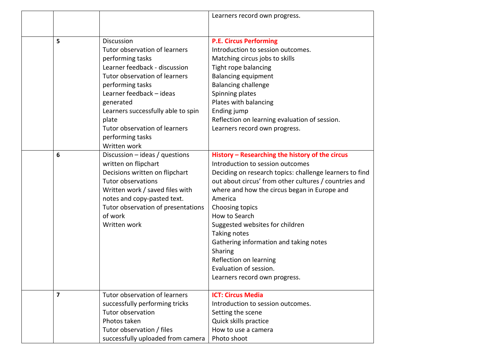|                         |                                    | Learners record own progress.                           |
|-------------------------|------------------------------------|---------------------------------------------------------|
|                         |                                    |                                                         |
|                         |                                    |                                                         |
| 5                       | Discussion                         | <b>P.E. Circus Performing</b>                           |
|                         | Tutor observation of learners      | Introduction to session outcomes.                       |
|                         | performing tasks                   | Matching circus jobs to skills                          |
|                         | Learner feedback - discussion      | Tight rope balancing                                    |
|                         | Tutor observation of learners      | <b>Balancing equipment</b>                              |
|                         | performing tasks                   | <b>Balancing challenge</b>                              |
|                         | Learner feedback - ideas           | Spinning plates                                         |
|                         | generated                          | Plates with balancing                                   |
|                         | Learners successfully able to spin | Ending jump                                             |
|                         | plate                              | Reflection on learning evaluation of session.           |
|                         | Tutor observation of learners      | Learners record own progress.                           |
|                         | performing tasks                   |                                                         |
|                         | Written work                       |                                                         |
| 6                       | Discussion $-$ ideas / questions   | History - Researching the history of the circus         |
|                         | written on flipchart               | Introduction to session outcomes                        |
|                         | Decisions written on flipchart     | Deciding on research topics: challenge learners to find |
|                         | <b>Tutor observations</b>          | out about circus' from other cultures / countries and   |
|                         | Written work / saved files with    | where and how the circus began in Europe and            |
|                         | notes and copy-pasted text.        | America                                                 |
|                         | Tutor observation of presentations | Choosing topics                                         |
|                         | of work                            | How to Search                                           |
|                         | Written work                       | Suggested websites for children                         |
|                         |                                    | Taking notes                                            |
|                         |                                    | Gathering information and taking notes                  |
|                         |                                    | Sharing                                                 |
|                         |                                    | Reflection on learning                                  |
|                         |                                    | Evaluation of session.                                  |
|                         |                                    | Learners record own progress.                           |
| $\overline{\mathbf{z}}$ | Tutor observation of learners      | <b>ICT: Circus Media</b>                                |
|                         | successfully performing tricks     | Introduction to session outcomes.                       |
|                         | Tutor observation                  | Setting the scene                                       |
|                         | Photos taken                       | Quick skills practice                                   |
|                         | Tutor observation / files          | How to use a camera                                     |
|                         | successfully uploaded from camera  | Photo shoot                                             |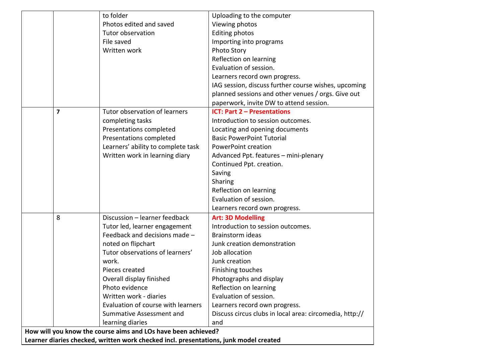|                                                                                       |                         | to folder                          | Uploading to the computer                               |  |
|---------------------------------------------------------------------------------------|-------------------------|------------------------------------|---------------------------------------------------------|--|
|                                                                                       |                         | Photos edited and saved            | Viewing photos                                          |  |
|                                                                                       |                         | Tutor observation                  | <b>Editing photos</b>                                   |  |
|                                                                                       |                         | File saved                         | Importing into programs                                 |  |
|                                                                                       |                         | Written work                       | Photo Story                                             |  |
|                                                                                       |                         |                                    | Reflection on learning                                  |  |
|                                                                                       |                         |                                    | Evaluation of session.                                  |  |
|                                                                                       |                         |                                    | Learners record own progress.                           |  |
|                                                                                       |                         |                                    | IAG session, discuss further course wishes, upcoming    |  |
|                                                                                       |                         |                                    | planned sessions and other venues / orgs. Give out      |  |
|                                                                                       |                         |                                    | paperwork, invite DW to attend session.                 |  |
|                                                                                       | $\overline{\mathbf{z}}$ | Tutor observation of learners      | <b>ICT: Part 2 - Presentations</b>                      |  |
|                                                                                       |                         | completing tasks                   | Introduction to session outcomes.                       |  |
|                                                                                       |                         | Presentations completed            | Locating and opening documents                          |  |
|                                                                                       |                         | Presentations completed            | <b>Basic PowerPoint Tutorial</b>                        |  |
|                                                                                       |                         | Learners' ability to complete task | <b>PowerPoint creation</b>                              |  |
|                                                                                       |                         | Written work in learning diary     | Advanced Ppt. features - mini-plenary                   |  |
|                                                                                       |                         |                                    | Continued Ppt. creation.                                |  |
|                                                                                       |                         |                                    | Saving                                                  |  |
|                                                                                       |                         |                                    | Sharing                                                 |  |
|                                                                                       |                         |                                    | Reflection on learning                                  |  |
|                                                                                       |                         |                                    | Evaluation of session.                                  |  |
|                                                                                       |                         |                                    | Learners record own progress.                           |  |
|                                                                                       | 8                       | Discussion - learner feedback      | <b>Art: 3D Modelling</b>                                |  |
|                                                                                       |                         | Tutor led, learner engagement      | Introduction to session outcomes.                       |  |
|                                                                                       |                         | Feedback and decisions made -      | Brainstorm ideas                                        |  |
|                                                                                       |                         | noted on flipchart                 | Junk creation demonstration                             |  |
|                                                                                       |                         | Tutor observations of learners'    | Job allocation                                          |  |
|                                                                                       |                         | work.                              | Junk creation                                           |  |
|                                                                                       |                         | Pieces created                     | Finishing touches                                       |  |
|                                                                                       |                         | Overall display finished           | Photographs and display                                 |  |
|                                                                                       |                         | Photo evidence                     | Reflection on learning                                  |  |
|                                                                                       |                         | Written work - diaries             | Evaluation of session.                                  |  |
|                                                                                       |                         | Evaluation of course with learners | Learners record own progress.                           |  |
|                                                                                       |                         | Summative Assessment and           | Discuss circus clubs in local area: circomedia, http:// |  |
|                                                                                       |                         | learning diaries                   | and                                                     |  |
| How will you know the course aims and LOs have been achieved?                         |                         |                                    |                                                         |  |
| Learner diaries checked, written work checked incl. presentations, junk model created |                         |                                    |                                                         |  |